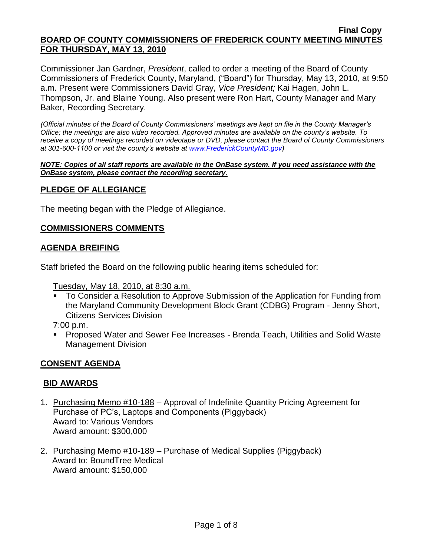Commissioner Jan Gardner, *President*, called to order a meeting of the Board of County Commissioners of Frederick County, Maryland, ("Board") for Thursday, May 13, 2010, at 9:50 a.m. Present were Commissioners David Gray, *Vice President;* Kai Hagen, John L. Thompson, Jr. and Blaine Young. Also present were Ron Hart, County Manager and Mary Baker, Recording Secretary.

*(Official minutes of the Board of County Commissioners' meetings are kept on file in the County Manager's Office; the meetings are also video recorded. Approved minutes are available on the county's website. To receive a copy of meetings recorded on videotape or DVD, please contact the Board of County Commissioners at 301-600-1100 or visit the county's website at [www.FrederickCountyMD.gov\)](http://www.frederickcountymd.gov/)*

#### *NOTE: Copies of all staff reports are available in the OnBase system. If you need assistance with the OnBase system, please contact the recording secretary.*

## **PLEDGE OF ALLEGIANCE**

The meeting began with the Pledge of Allegiance.

## **COMMISSIONERS COMMENTS**

## **AGENDA BREIFING**

Staff briefed the Board on the following public hearing items scheduled for:

Tuesday, May 18, 2010, at 8:30 a.m.

 To Consider a Resolution to Approve Submission of the Application for Funding from the Maryland Community Development Block Grant (CDBG) Program - Jenny Short, Citizens Services Division

7:00 p.m.

 Proposed Water and Sewer Fee Increases - Brenda Teach, Utilities and Solid Waste Management Division

# **CONSENT AGENDA**

#### **BID AWARDS**

- 1. Purchasing Memo #10-188 Approval of Indefinite Quantity Pricing Agreement for Purchase of PC's, Laptops and Components (Piggyback) Award to: Various Vendors Award amount: \$300,000
- 2. Purchasing Memo #10-189 Purchase of Medical Supplies (Piggyback) Award to: BoundTree Medical Award amount: \$150,000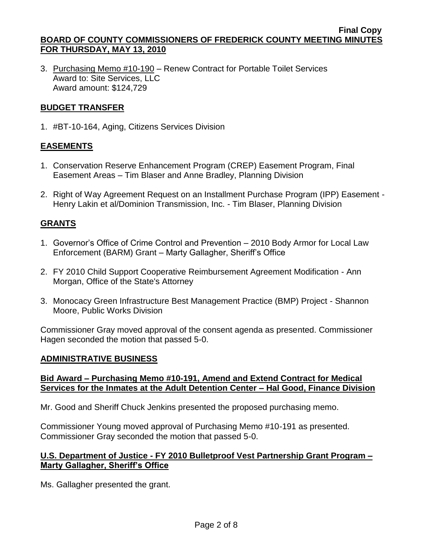3. Purchasing Memo #10-190 – Renew Contract for Portable Toilet Services Award to: Site Services, LLC Award amount: \$124,729

## **BUDGET TRANSFER**

1. #BT-10-164, Aging, Citizens Services Division

# **EASEMENTS**

- 1. Conservation Reserve Enhancement Program (CREP) Easement Program, Final Easement Areas – Tim Blaser and Anne Bradley, Planning Division
- 2. Right of Way Agreement Request on an Installment Purchase Program (IPP) Easement Henry Lakin et al/Dominion Transmission, Inc. - Tim Blaser, Planning Division

## **GRANTS**

- 1. Governor's Office of Crime Control and Prevention 2010 Body Armor for Local Law Enforcement (BARM) Grant – Marty Gallagher, Sheriff's Office
- 2. FY 2010 Child Support Cooperative Reimbursement Agreement Modification Ann Morgan, Office of the State's Attorney
- 3. Monocacy Green Infrastructure Best Management Practice (BMP) Project Shannon Moore, Public Works Division

Commissioner Gray moved approval of the consent agenda as presented. Commissioner Hagen seconded the motion that passed 5-0.

#### **ADMINISTRATIVE BUSINESS**

#### **Bid Award – Purchasing Memo #10-191, Amend and Extend Contract for Medical Services for the Inmates at the Adult Detention Center – Hal Good, Finance Division**

Mr. Good and Sheriff Chuck Jenkins presented the proposed purchasing memo.

Commissioner Young moved approval of Purchasing Memo #10-191 as presented. Commissioner Gray seconded the motion that passed 5-0.

#### **U.S. Department of Justice - FY 2010 Bulletproof Vest Partnership Grant Program – Marty Gallagher, Sheriff's Office**

Ms. Gallagher presented the grant.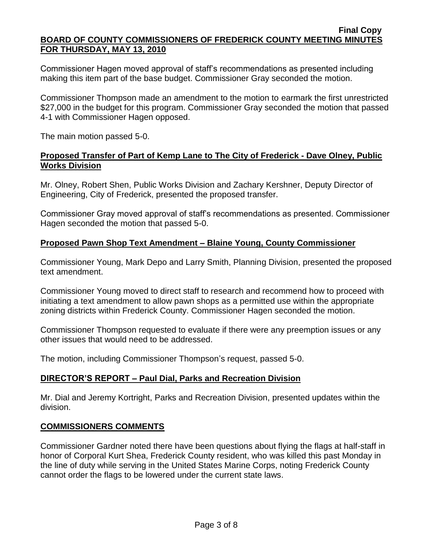Commissioner Hagen moved approval of staff's recommendations as presented including making this item part of the base budget. Commissioner Gray seconded the motion.

Commissioner Thompson made an amendment to the motion to earmark the first unrestricted \$27,000 in the budget for this program. Commissioner Gray seconded the motion that passed 4-1 with Commissioner Hagen opposed.

The main motion passed 5-0.

#### **Proposed Transfer of Part of Kemp Lane to The City of Frederick - Dave Olney, Public Works Division**

Mr. Olney, Robert Shen, Public Works Division and Zachary Kershner, Deputy Director of Engineering, City of Frederick, presented the proposed transfer.

Commissioner Gray moved approval of staff's recommendations as presented. Commissioner Hagen seconded the motion that passed 5-0.

#### **Proposed Pawn Shop Text Amendment – Blaine Young, County Commissioner**

Commissioner Young, Mark Depo and Larry Smith, Planning Division, presented the proposed text amendment.

Commissioner Young moved to direct staff to research and recommend how to proceed with initiating a text amendment to allow pawn shops as a permitted use within the appropriate zoning districts within Frederick County. Commissioner Hagen seconded the motion.

Commissioner Thompson requested to evaluate if there were any preemption issues or any other issues that would need to be addressed.

The motion, including Commissioner Thompson's request, passed 5-0.

#### **DIRECTOR'S REPORT – Paul Dial, Parks and Recreation Division**

Mr. Dial and Jeremy Kortright, Parks and Recreation Division, presented updates within the division.

#### **COMMISSIONERS COMMENTS**

Commissioner Gardner noted there have been questions about flying the flags at half-staff in honor of Corporal Kurt Shea, Frederick County resident, who was killed this past Monday in the line of duty while serving in the United States Marine Corps, noting Frederick County cannot order the flags to be lowered under the current state laws.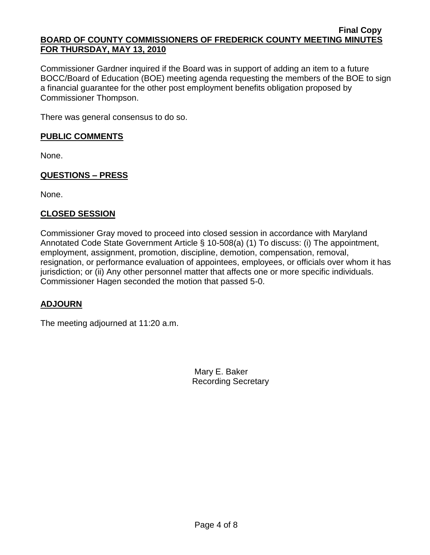Commissioner Gardner inquired if the Board was in support of adding an item to a future BOCC/Board of Education (BOE) meeting agenda requesting the members of the BOE to sign a financial guarantee for the other post employment benefits obligation proposed by Commissioner Thompson.

There was general consensus to do so.

### **PUBLIC COMMENTS**

None.

# **QUESTIONS – PRESS**

None.

# **CLOSED SESSION**

Commissioner Gray moved to proceed into closed session in accordance with Maryland Annotated Code State Government Article § 10-508(a) (1) To discuss: (i) The appointment, employment, assignment, promotion, discipline, demotion, compensation, removal, resignation, or performance evaluation of appointees, employees, or officials over whom it has jurisdiction; or (ii) Any other personnel matter that affects one or more specific individuals. Commissioner Hagen seconded the motion that passed 5-0.

# **ADJOURN**

The meeting adjourned at 11:20 a.m.

Mary E. Baker Recording Secretary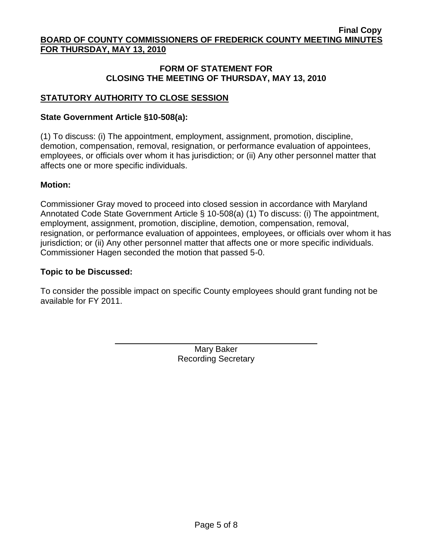## **FORM OF STATEMENT FOR CLOSING THE MEETING OF THURSDAY, MAY 13, 2010**

# **STATUTORY AUTHORITY TO CLOSE SESSION**

### **State Government Article §10-508(a):**

(1) To discuss: (i) The appointment, employment, assignment, promotion, discipline, demotion, compensation, removal, resignation, or performance evaluation of appointees, employees, or officials over whom it has jurisdiction; or (ii) Any other personnel matter that affects one or more specific individuals.

#### **Motion:**

Commissioner Gray moved to proceed into closed session in accordance with Maryland Annotated Code State Government Article § 10-508(a) (1) To discuss: (i) The appointment, employment, assignment, promotion, discipline, demotion, compensation, removal, resignation, or performance evaluation of appointees, employees, or officials over whom it has jurisdiction; or (ii) Any other personnel matter that affects one or more specific individuals. Commissioner Hagen seconded the motion that passed 5-0.

#### **Topic to be Discussed:**

To consider the possible impact on specific County employees should grant funding not be available for FY 2011.

> Mary Baker Recording Secretary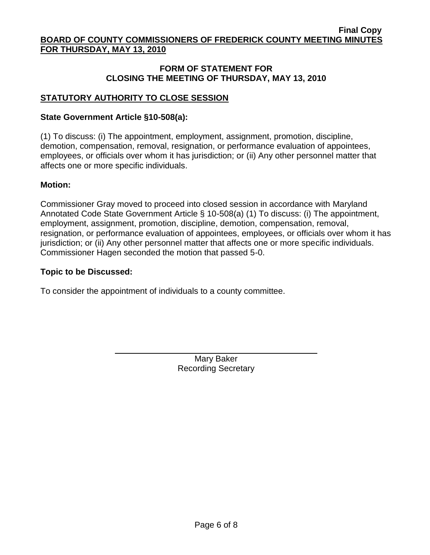## **FORM OF STATEMENT FOR CLOSING THE MEETING OF THURSDAY, MAY 13, 2010**

# **STATUTORY AUTHORITY TO CLOSE SESSION**

#### **State Government Article §10-508(a):**

(1) To discuss: (i) The appointment, employment, assignment, promotion, discipline, demotion, compensation, removal, resignation, or performance evaluation of appointees, employees, or officials over whom it has jurisdiction; or (ii) Any other personnel matter that affects one or more specific individuals.

#### **Motion:**

Commissioner Gray moved to proceed into closed session in accordance with Maryland Annotated Code State Government Article § 10-508(a) (1) To discuss: (i) The appointment, employment, assignment, promotion, discipline, demotion, compensation, removal, resignation, or performance evaluation of appointees, employees, or officials over whom it has jurisdiction; or (ii) Any other personnel matter that affects one or more specific individuals. Commissioner Hagen seconded the motion that passed 5-0.

#### **Topic to be Discussed:**

To consider the appointment of individuals to a county committee.

Mary Baker Recording Secretary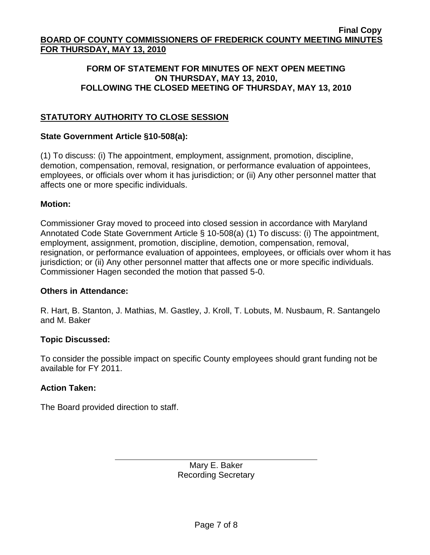### **FORM OF STATEMENT FOR MINUTES OF NEXT OPEN MEETING ON THURSDAY, MAY 13, 2010, FOLLOWING THE CLOSED MEETING OF THURSDAY, MAY 13, 2010**

# **STATUTORY AUTHORITY TO CLOSE SESSION**

#### **State Government Article §10-508(a):**

(1) To discuss: (i) The appointment, employment, assignment, promotion, discipline, demotion, compensation, removal, resignation, or performance evaluation of appointees, employees, or officials over whom it has jurisdiction; or (ii) Any other personnel matter that affects one or more specific individuals.

#### **Motion:**

Commissioner Gray moved to proceed into closed session in accordance with Maryland Annotated Code State Government Article § 10-508(a) (1) To discuss: (i) The appointment, employment, assignment, promotion, discipline, demotion, compensation, removal, resignation, or performance evaluation of appointees, employees, or officials over whom it has jurisdiction; or (ii) Any other personnel matter that affects one or more specific individuals. Commissioner Hagen seconded the motion that passed 5-0.

#### **Others in Attendance:**

R. Hart, B. Stanton, J. Mathias, M. Gastley, J. Kroll, T. Lobuts, M. Nusbaum, R. Santangelo and M. Baker

#### **Topic Discussed:**

To consider the possible impact on specific County employees should grant funding not be available for FY 2011.

#### **Action Taken:**

The Board provided direction to staff.

Mary E. Baker Recording Secretary